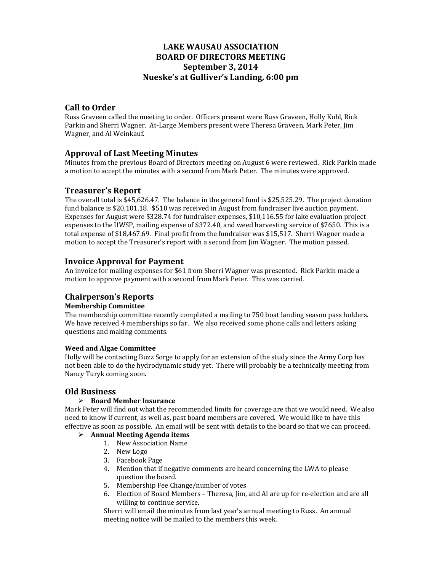# **LAKE WAUSAU ASSOCIATION BOARD OF DIRECTORS MEETING September 3, 2014 Nueske's at Gulliver's Landing, 6:00 pm**

## **Call to Order**

Russ Graveen called the meeting to order. Officers present were Russ Graveen, Holly Kohl, Rick Parkin and Sherri Wagner. At-Large Members present were Theresa Graveen, Mark Peter, Jim Wagner, and Al Weinkauf.

### **Approval of Last Meeting Minutes**

Minutes from the previous Board of Directors meeting on August 6 were reviewed. Rick Parkin made a motion to accept the minutes with a second from Mark Peter. The minutes were approved.

### **Treasurer's Report**

The overall total is \$45,626.47. The balance in the general fund is \$25,525.29. The project donation fund balance is \$20,101.18. \$510 was received in August from fundraiser live auction payment. Expenses for August were \$328.74 for fundraiser expenses, \$10,116.55 for lake evaluation project expenses to the UWSP, mailing expense of \$372.40, and weed harvesting service of \$7650. This is a total expense of \$18,467.69. Final profit from the fundraiser was \$15,517. Sherri Wagner made a motion to accept the Treasurer's report with a second from Jim Wagner. The motion passed.

### **Invoice Approval for Payment**

An invoice for mailing expenses for \$61 from Sherri Wagner was presented. Rick Parkin made a motion to approve payment with a second from Mark Peter. This was carried.

# **Chairperson's Reports**

### **Membership Committee**

The membership committee recently completed a mailing to 750 boat landing season pass holders. We have received 4 memberships so far. We also received some phone calls and letters asking questions and making comments.

#### **Weed and Algae Committee**

Holly will be contacting Buzz Sorge to apply for an extension of the study since the Army Corp has not been able to do the hydrodynamic study yet. There will probably be a technically meeting from Nancy Turyk coming soon.

### **Old Business**

### **Board Member Insurance**

Mark Peter will find out what the recommended limits for coverage are that we would need. We also need to know if current, as well as, past board members are covered. We would like to have this effective as soon as possible. An email will be sent with details to the board so that we can proceed.

### **Annual Meeting Agenda items**

- 1. New Association Name
- 2. New Logo
- 3. Facebook Page
- 4. Mention that if negative comments are heard concerning the LWA to please question the board.
- 5. Membership Fee Change/number of votes
- 6. Election of Board Members Theresa, Jim, and Al are up for re-election and are all willing to continue service.

Sherri will email the minutes from last year's annual meeting to Russ. An annual meeting notice will be mailed to the members this week.